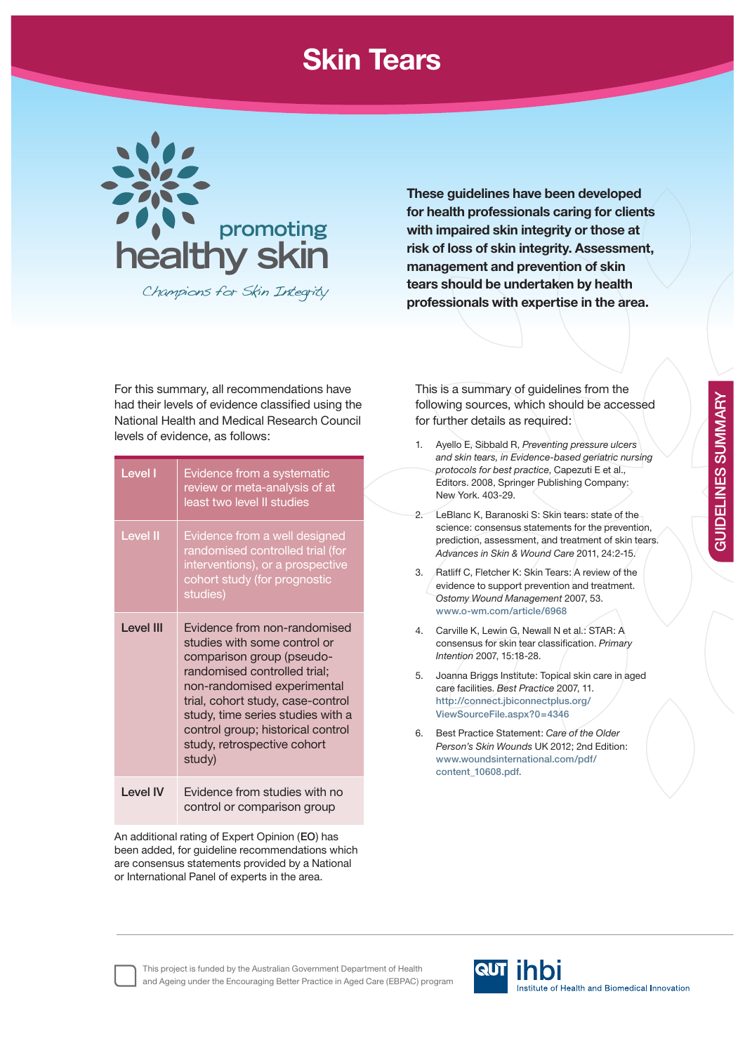## **Skin Tears**



Champions for Skin Integrity

**These guidelines have been developed for health professionals caring for clients with impaired skin integrity or those at risk of loss of skin integrity. Assessment, management and prevention of skin tears should be undertaken by health professionals with expertise in the area.**

For this summary, all recommendations have had their levels of evidence classified using the National Health and Medical Research Council levels of evidence, as follows:

| Level I          | Evidence from a systematic<br>review or meta-analysis of at<br>least two level II studies                                                                                                                                                                                                                        |
|------------------|------------------------------------------------------------------------------------------------------------------------------------------------------------------------------------------------------------------------------------------------------------------------------------------------------------------|
| <b>Level II</b>  | Evidence from a well designed<br>randomised controlled trial (for<br>interventions), or a prospective<br>cohort study (for prognostic<br>studies)                                                                                                                                                                |
| <b>Level III</b> | Evidence from non-randomised<br>studies with some control or<br>comparison group (pseudo-<br>randomised controlled trial;<br>non-randomised experimental<br>trial, cohort study, case-control<br>study, time series studies with a<br>control group; historical control<br>study, retrospective cohort<br>study) |
| I evel IV        | Evidence from studies with no<br>control or comparison group                                                                                                                                                                                                                                                     |

An additional rating of Expert Opinion (**EO**) has been added, for guideline recommendations which are consensus statements provided by a National or International Panel of experts in the area.

This is a summary of guidelines from the following sources, which should be accessed for further details as required:

1. Ayello E, Sibbald R, *Preventing pressure ulcers and skin tears, in Evidence-based geriatric nursing protocols for best practice*, Capezuti E et al., Editors. 2008, Springer Publishing Company: New York. 403-29. 2. LeBlanc K, Baranoski S: Skin tears: state of the science: consensus statements for the prevention, prediction, assessment, and treatment of skin tears. *Advances in Skin & Wound Care* 2011, 24:2-15. 3. Ratliff C, Fletcher K: Skin Tears: A review of the evidence to support prevention and treatment. *Ostomy Wound Management* 2007, 53. **www.o-wm.com/article/6968** 4. Carville K, Lewin G, Newall N et al.: STAR: A consensus for skin tear classifi cation. *Primary Intention* 2007, 15:18-28. 5. Joanna Briggs Institute: Topical skin care in aged care facilities. *Best Practice* 2007, 11. **http://connect.jbiconnectplus.org/ ViewSourceFile.aspx?0=4346** 6. Best Practice Statement: *Care of the Older Person's Skin Wounds* UK 2012; 2nd Edition: **www.woundsinternational.com/pdf/ content\_10608.pdf.**



This project is funded by the Australian Government Department of Health and Ageing under the Encouraging Better Practice in Aged Care (EBPAC) program